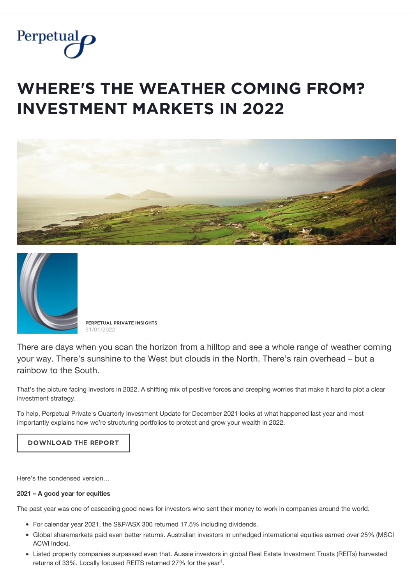

# **WHERE'S THE WEATHER COMING FROM? INVESTMENT MARKETS IN 2022**





**PĚŘPĚȚŲǺĿ PŘİVǺȚĚ İŇȘİĢĦȚȘ** 31/01/2022

There are days when you scan the horizon from a hilltop and see a whole range of weather coming your way. There's sunshine to the West but clouds in the North. There's rain overhead – but a rainbow to the South.

That's the picture facing investors in 2022. A shifting mix of positive forces and creeping worries that make it hard to plot a clear investment strategy.

To help, Perpetual Private's Quarterly Investment Update for December 2021 looks at what happened last year and most importantly explains how we're structuring portfolios to protect and grow your wealth in 2022.

# **DOWNLOAD THE REPORT**

Here's the condensed version…

#### **2021 – A good year for equities**

The past year was one of cascading good news for investors who sent their money to work in companies around the world.

- For calendar year 2021, the S&P/ASX 300 returned 17.5% including dividends.
- Global sharemarkets paid even better returns. Australian investors in unhedged international equities earned over 25% (MSCI ACWI Index).
- Listed property companies surpassed even that. Aussie investors in global Real Estate Investment Trusts (REITs) harvested returns of 33%. Locally focused REITS returned 27% for the year<sup>1</sup>.